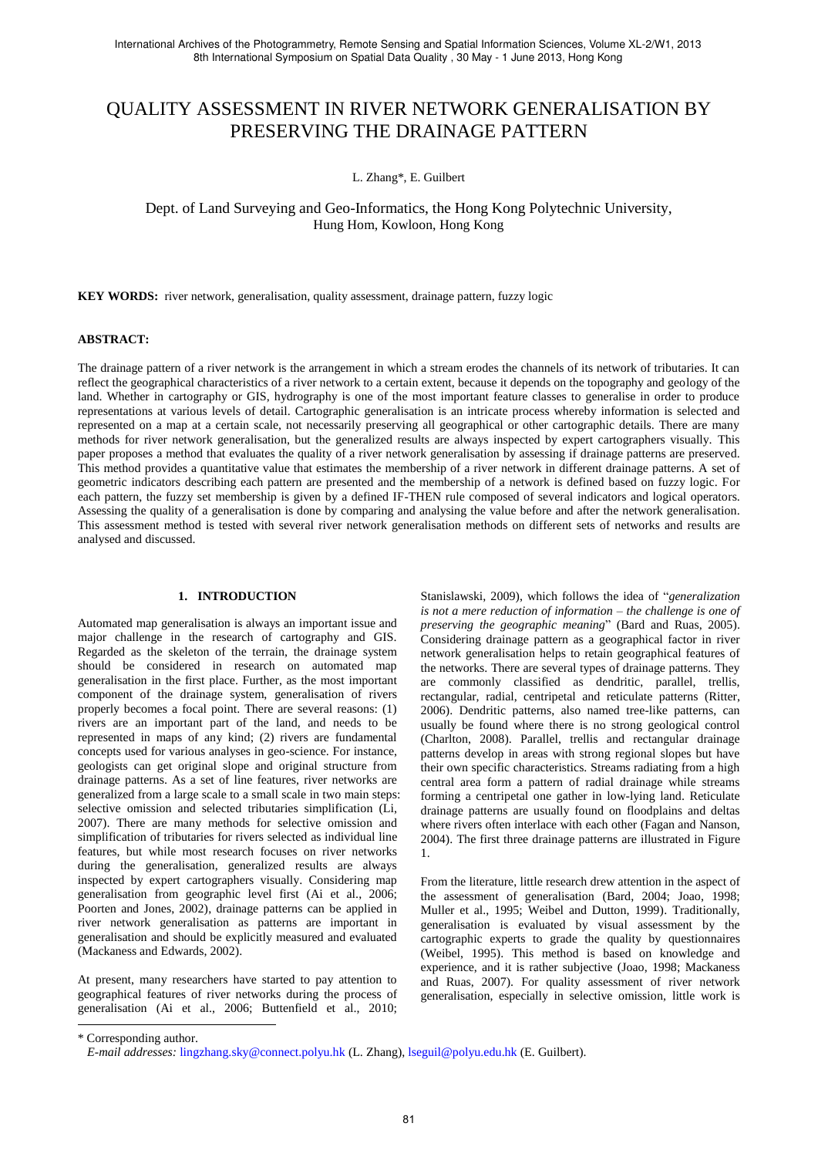# QUALITY ASSESSMENT IN RIVER NETWORK GENERALISATION BY PRESERVING THE DRAINAGE PATTERN

L. Zhang\*, E. Guilbert

Dept. of Land Surveying and Geo-Informatics, the Hong Kong Polytechnic University, Hung Hom, Kowloon, Hong Kong

**KEY WORDS:** river network, generalisation, quality assessment, drainage pattern, fuzzy logic

## **ABSTRACT:**

The drainage pattern of a river network is the arrangement in which a stream erodes the channels of its network of tributaries. It can reflect the geographical characteristics of a river network to a certain extent, because it depends on the topography and geology of the land. Whether in cartography or GIS, hydrography is one of the most important feature classes to generalise in order to produce representations at various levels of detail. Cartographic generalisation is an intricate process whereby information is selected and represented on a map at a certain scale, not necessarily preserving all geographical or other cartographic details. There are many methods for river network generalisation, but the generalized results are always inspected by expert cartographers visually. This paper proposes a method that evaluates the quality of a river network generalisation by assessing if drainage patterns are preserved. This method provides a quantitative value that estimates the membership of a river network in different drainage patterns. A set of geometric indicators describing each pattern are presented and the membership of a network is defined based on fuzzy logic. For each pattern, the fuzzy set membership is given by a defined IF-THEN rule composed of several indicators and logical operators. Assessing the quality of a generalisation is done by comparing and analysing the value before and after the network generalisation. This assessment method is tested with several river network generalisation methods on different sets of networks and results are analysed and discussed.

## **1. INTRODUCTION**

Automated map generalisation is always an important issue and major challenge in the research of cartography and GIS. Regarded as the skeleton of the terrain, the drainage system should be considered in research on automated map generalisation in the first place. Further, as the most important component of the drainage system, generalisation of rivers properly becomes a focal point. There are several reasons: (1) rivers are an important part of the land, and needs to be represented in maps of any kind; (2) rivers are fundamental concepts used for various analyses in geo-science. For instance, geologists can get original slope and original structure from drainage patterns. As a set of line features, river networks are generalized from a large scale to a small scale in two main steps: selective omission and selected tributaries simplification (Li, 2007). There are many methods for selective omission and simplification of tributaries for rivers selected as individual line features, but while most research focuses on river networks during the generalisation, generalized results are always inspected by expert cartographers visually. Considering map generalisation from geographic level first (Ai et al., 2006; Poorten and Jones, 2002), drainage patterns can be applied in river network generalisation as patterns are important in generalisation and should be explicitly measured and evaluated (Mackaness and Edwards, 2002).

At present, many researchers have started to pay attention to geographical features of river networks during the process of generalisation (Ai et al., 2006; Buttenfield et al., 2010;

 $\overline{a}$ 

Stanislawski, 2009), which follows the idea of "*generalization is not a mere reduction of information – the challenge is one of preserving the geographic meaning*" (Bard and Ruas, 2005). Considering drainage pattern as a geographical factor in river network generalisation helps to retain geographical features of the networks. There are several types of drainage patterns. They are commonly classified as dendritic, parallel, trellis, rectangular, radial, centripetal and reticulate patterns (Ritter, 2006). Dendritic patterns, also named tree-like patterns, can usually be found where there is no strong geological control (Charlton, 2008). Parallel, trellis and rectangular drainage patterns develop in areas with strong regional slopes but have their own specific characteristics. Streams radiating from a high central area form a pattern of radial drainage while streams forming a centripetal one gather in low-lying land. Reticulate drainage patterns are usually found on floodplains and deltas where rivers often interlace with each other (Fagan and Nanson, 2004). The first three drainage patterns are illustrated in Figure 1.

From the literature, little research drew attention in the aspect of the assessment of generalisation (Bard, 2004; Joao, 1998; Muller et al., 1995; Weibel and Dutton, 1999). Traditionally, generalisation is evaluated by visual assessment by the cartographic experts to grade the quality by questionnaires (Weibel, 1995). This method is based on knowledge and experience, and it is rather subjective (Joao, 1998; Mackaness and Ruas, 2007). For quality assessment of river network generalisation, especially in selective omission, little work is

<sup>\*</sup> Corresponding author.  *E-mail addresses:* lingzhang.sky@connect.polyu.hk (L. Zhang), lseguil@polyu.edu.hk (E. Guilbert).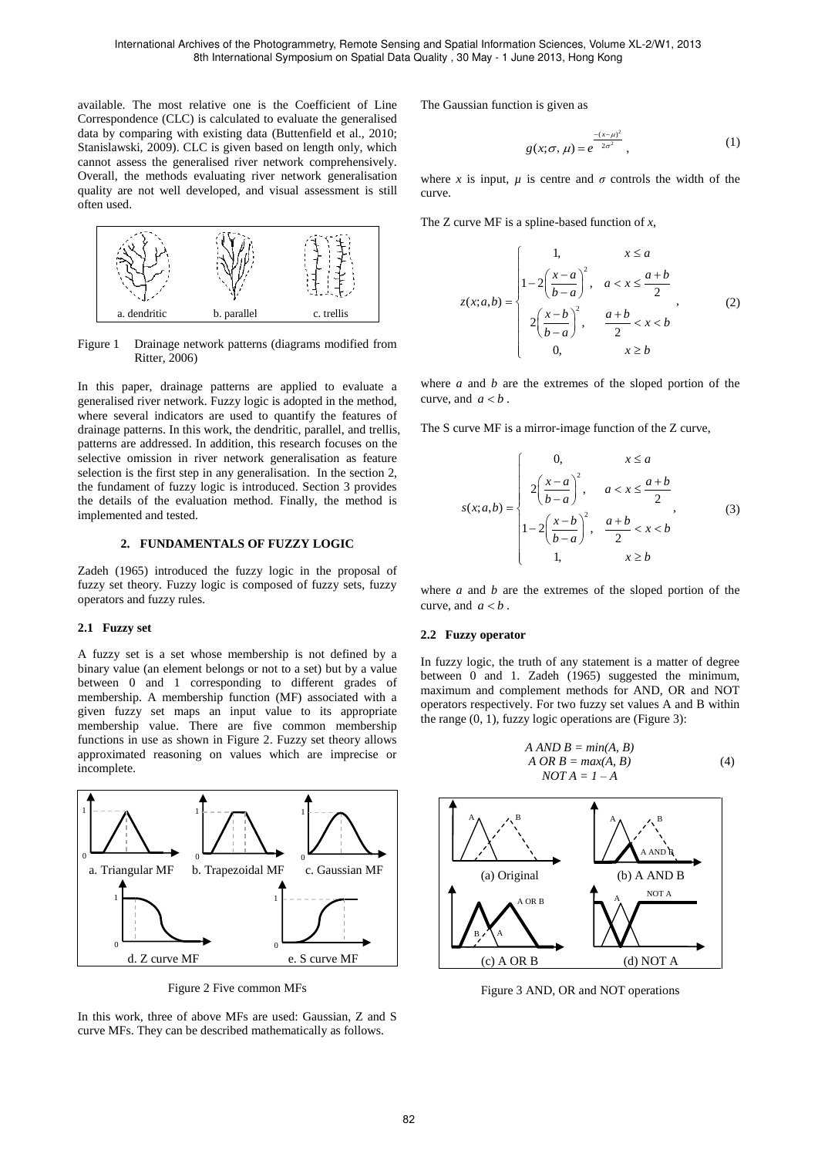available. The most relative one is the Coefficient of Line Correspondence (CLC) is calculated to evaluate the generalised data by comparing with existing data (Buttenfield et al., 2010; Stanislawski, 2009). CLC is given based on length only, which cannot assess the generalised river network comprehensively. Overall, the methods evaluating river network generalisation quality are not well developed, and visual assessment is still often used.



Figure 1 Drainage network patterns (diagrams modified from Ritter, 2006)

In this paper, drainage patterns are applied to evaluate a generalised river network. Fuzzy logic is adopted in the method, where several indicators are used to quantify the features of drainage patterns. In this work, the dendritic, parallel, and trellis, patterns are addressed. In addition, this research focuses on the selective omission in river network generalisation as feature selection is the first step in any generalisation. In the section 2, the fundament of fuzzy logic is introduced. Section 3 provides the details of the evaluation method. Finally, the method is implemented and tested.

### **2. FUNDAMENTALS OF FUZZY LOGIC**

Zadeh (1965) introduced the fuzzy logic in the proposal of fuzzy set theory. Fuzzy logic is composed of fuzzy sets, fuzzy operators and fuzzy rules.

## **2.1 Fuzzy set**

A fuzzy set is a set whose membership is not defined by a binary value (an element belongs or not to a set) but by a value between 0 and 1 corresponding to different grades of membership. A membership function (MF) associated with a given fuzzy set maps an input value to its appropriate membership value. There are five common membership functions in use as shown in Figure 2. Fuzzy set theory allows approximated reasoning on values which are imprecise or incomplete.



Figure 2 Five common MFs

In this work, three of above MFs are used: Gaussian, Z and S curve MFs. They can be described mathematically as follows.

The Gaussian function is given as

$$
g(x; \sigma, \mu) = e^{\frac{-(x-\mu)^2}{2\sigma^2}}, \qquad (1)
$$

where *x* is input,  $\mu$  is centre and  $\sigma$  controls the width of the curve.

The Z curve MF is a spline-based function of *x*,

$$
z(x;a,b) = \begin{cases} 1, & x \le a \\ 1 - 2\left(\frac{x-a}{b-a}\right)^2, & a < x \le \frac{a+b}{2} \\ 2\left(\frac{x-b}{b-a}\right)^2, & \frac{a+b}{2} < x < b \\ 0, & x \ge b \end{cases}
$$
 (2)

where *a* and *b* are the extremes of the sloped portion of the curve, and  $a < b$ .

The S curve MF is a mirror-image function of the Z curve,

$$
s(x;a,b) = \begin{cases} 0, & x \le a \\ 2\left(\frac{x-a}{b-a}\right)^2, & a < x \le \frac{a+b}{2} \\ 1 - 2\left(\frac{x-b}{b-a}\right)^2, & \frac{a+b}{2} < x < b \\ 1, & x \ge b \end{cases} \tag{3}
$$

where *a* and *b* are the extremes of the sloped portion of the curve, and  $a < b$ .

## **2.2 Fuzzy operator**

In fuzzy logic, the truth of any statement is a matter of degree between 0 and 1. Zadeh (1965) suggested the minimum, maximum and complement methods for AND, OR and NOT operators respectively. For two fuzzy set values A and B within the range  $(0, 1)$ , fuzzy logic operations are (Figure 3):

$$
A AND B = min(A, B)
$$
  
\n
$$
A OR B = max(A, B)
$$
  
\n
$$
NOT A = I - A
$$
\n(4)



Figure 3 AND, OR and NOT operations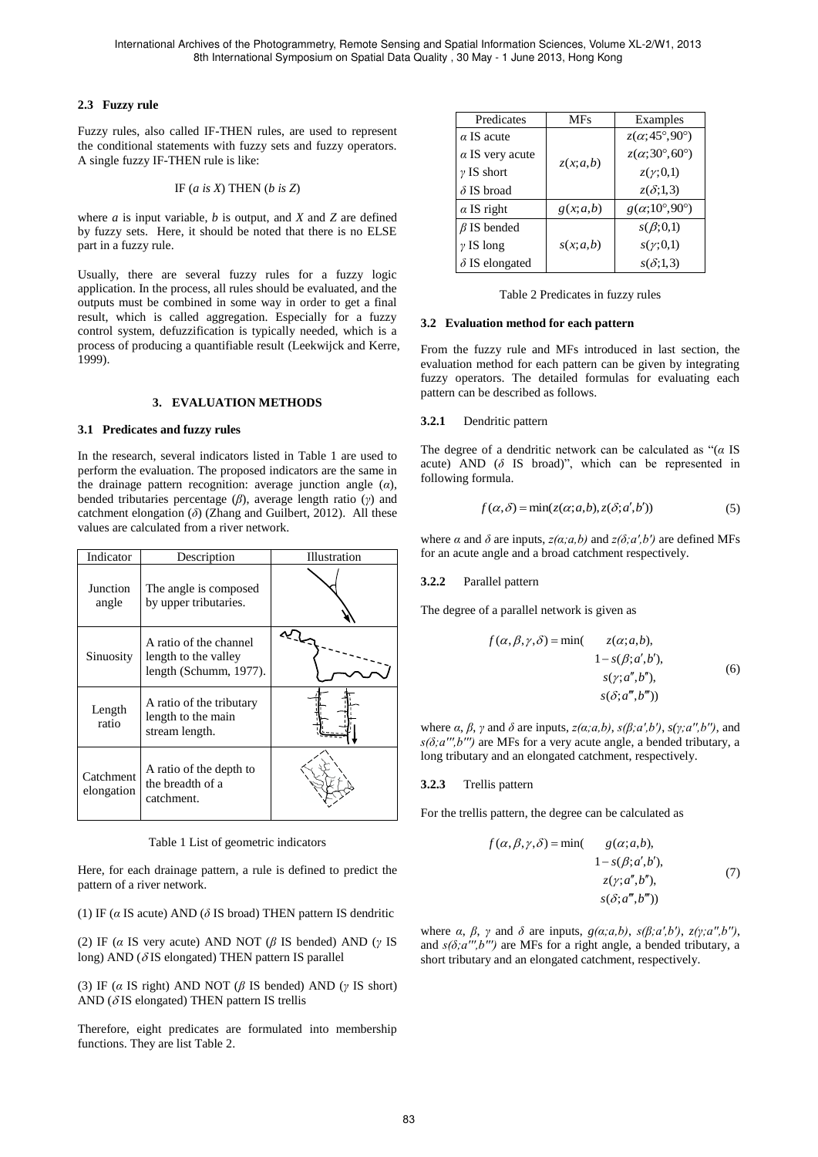## **2.3 Fuzzy rule**

Fuzzy rules, also called IF-THEN rules, are used to represent the conditional statements with fuzzy sets and fuzzy operators. A single fuzzy IF-THEN rule is like:

IF 
$$
(a \text{ is } X)
$$
 THEN  $(b \text{ is } Z)$ 

where *a* is input variable, *b* is output, and *X* and *Z* are defined by fuzzy sets. Here, it should be noted that there is no ELSE part in a fuzzy rule.

Usually, there are several fuzzy rules for a fuzzy logic application. In the process, all rules should be evaluated, and the outputs must be combined in some way in order to get a final result, which is called aggregation. Especially for a fuzzy control system, defuzzification is typically needed, which is a process of producing a quantifiable result (Leekwijck and Kerre, 1999).

## **3. EVALUATION METHODS**

#### **3.1 Predicates and fuzzy rules**

In the research, several indicators listed in Table 1 are used to perform the evaluation. The proposed indicators are the same in the drainage pattern recognition: average junction angle (*α*), bended tributaries percentage (*β*), average length ratio (*γ*) and catchment elongation  $(\delta)$  (Zhang and Guilbert, 2012). All these values are calculated from a river network.

| Indicator               | Description                                                              | Illustration |  |  |
|-------------------------|--------------------------------------------------------------------------|--------------|--|--|
| Junction<br>angle       | The angle is composed<br>by upper tributaries.                           |              |  |  |
| Sinuosity               | A ratio of the channel<br>length to the valley<br>length (Schumm, 1977). | ِ يہ         |  |  |
| Length<br>ratio         | A ratio of the tributary<br>length to the main<br>stream length.         |              |  |  |
| Catchment<br>elongation | A ratio of the depth to<br>the breadth of a<br>catchment.                |              |  |  |

Table 1 List of geometric indicators

Here, for each drainage pattern, a rule is defined to predict the pattern of a river network.

(1) IF (*α* IS acute) AND (*δ* IS broad) THEN pattern IS dendritic

(2) IF (*α* IS very acute) AND NOT (*β* IS bended) AND (*γ* IS long) AND ( $\delta$ IS elongated) THEN pattern IS parallel

(3) IF (*α* IS right) AND NOT (*β* IS bended) AND (*γ* IS short) AND ( $\delta$ IS elongated) THEN pattern IS trellis

Therefore, eight predicates are formulated into membership functions. They are list Table 2.

| Predicates             | <b>MFs</b> | Examples                        |  |  |
|------------------------|------------|---------------------------------|--|--|
| $\alpha$ IS acute      |            | $z(\alpha; 45^\circ, 90^\circ)$ |  |  |
| $\alpha$ IS very acute | z(x;a,b)   | $z(\alpha; 30^\circ, 60^\circ)$ |  |  |
| $\nu$ IS short         |            | $z(\gamma;0,1)$                 |  |  |
| $\delta$ IS broad      |            | $z(\delta;1,3)$                 |  |  |
| $\alpha$ IS right      | g(x;a,b)   | $g(\alpha;10^\circ,90^\circ)$   |  |  |
| $\beta$ IS bended      |            | $s(\beta;0,1)$                  |  |  |
| $\gamma$ IS long       | s(x; a, b) | $s(\gamma;0,1)$                 |  |  |
| $\delta$ IS elongated  |            | $s(\delta;1,3)$                 |  |  |

Table 2 Predicates in fuzzy rules

#### **3.2 Evaluation method for each pattern**

From the fuzzy rule and MFs introduced in last section, the evaluation method for each pattern can be given by integrating fuzzy operators. The detailed formulas for evaluating each pattern can be described as follows.

#### **3.2.1** Dendritic pattern

The degree of a dendritic network can be calculated as "(*α* IS acute) AND  $(\delta$  IS broad)", which can be represented in following formula.

$$
f(\alpha, \delta) = \min(z(\alpha; a, b), z(\delta; a', b'))
$$
 (5)

where  $\alpha$  and  $\delta$  are inputs,  $z(\alpha; a, b)$  and  $z(\delta; a', b')$  are defined MFs for an acute angle and a broad catchment respectively.

## **3.2.2** Parallel pattern

The degree of a parallel network is given as

$$
f(\alpha, \beta, \gamma, \delta) = \min(\begin{array}{c} z(\alpha; a, b), \\ 1 - s(\beta; a', b'), \\ s(\gamma; a'', b''), \\ s(\delta; a'', b'')) \end{array} (6)
$$

where  $\alpha$ ,  $\beta$ ,  $\gamma$  and  $\delta$  are inputs,  $z(\alpha; a, b)$ ,  $s(\beta; a', b')$ ,  $s(\gamma; a'', b'')$ , and *s(δ;a''',b''')* are MFs for a very acute angle, a bended tributary, a long tributary and an elongated catchment, respectively.

#### **3.2.3** Trellis pattern

For the trellis pattern, the degree can be calculated as

$$
f(\alpha, \beta, \gamma, \delta) = \min(\begin{array}{c} g(\alpha; a, b), \\ 1 - s(\beta; a', b'), \\ z(\gamma; a'', b''), \\ s(\delta; a'', b'')) \end{array} (7)
$$

where  $\alpha$ ,  $\beta$ ,  $\gamma$  and  $\delta$  are inputs,  $g(\alpha; a,b)$ ,  $s(\beta; a',b')$ ,  $z(\gamma; a'', b'')$ , and  $s(\delta; a''', b''')$  are MFs for a right angle, a bended tributary, a short tributary and an elongated catchment, respectively.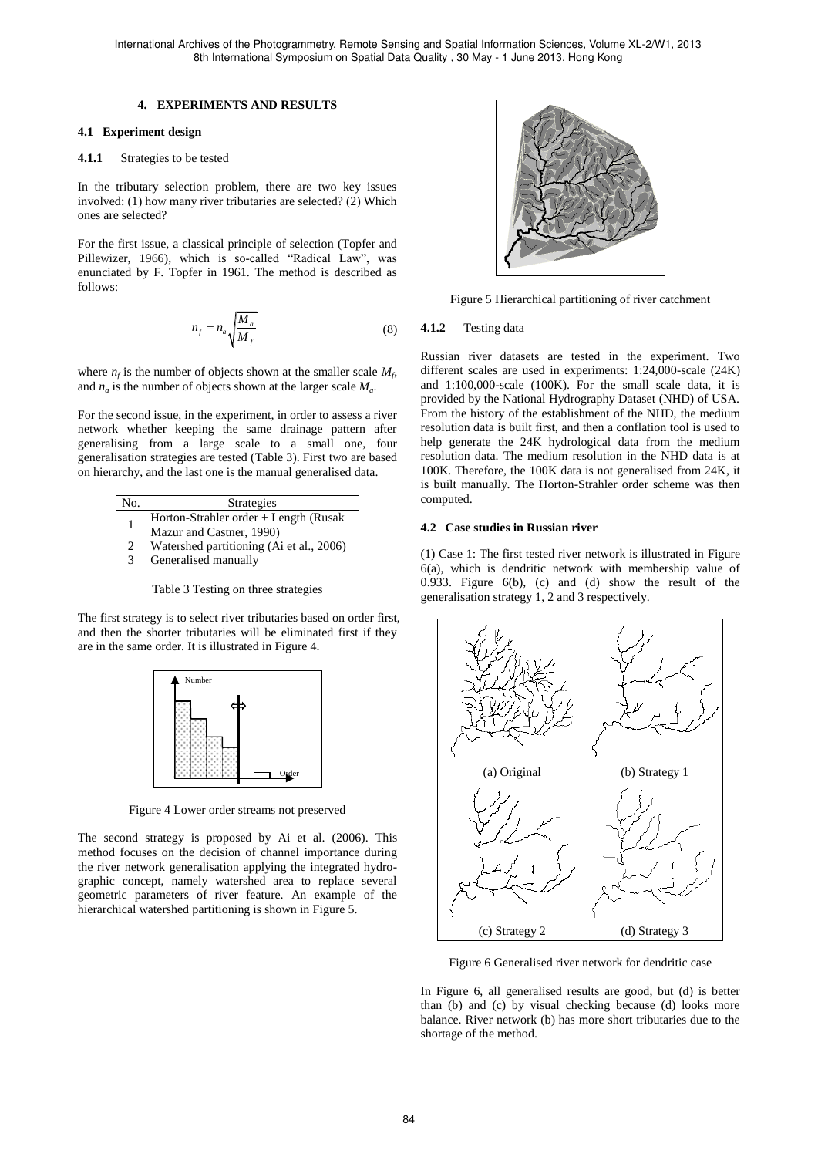#### **4. EXPERIMENTS AND RESULTS**

## **4.1 Experiment design**

## **4.1.1** Strategies to be tested

In the tributary selection problem, there are two key issues involved: (1) how many river tributaries are selected? (2) Which ones are selected?

For the first issue, a classical principle of selection (Topfer and Pillewizer, 1966), which is so-called "Radical Law", was enunciated by F. Topfer in 1961. The method is described as follows:

$$
n_f = n_a \sqrt{\frac{M_a}{M_f}}\tag{8}
$$

where  $n_f$  is the number of objects shown at the smaller scale  $M_f$ , and  $n_a$  is the number of objects shown at the larger scale  $M_a$ .

For the second issue, in the experiment, in order to assess a river network whether keeping the same drainage pattern after generalising from a large scale to a small one, four generalisation strategies are tested (Table 3). First two are based on hierarchy, and the last one is the manual generalised data.

| No. | <b>Strategies</b>                                                    |
|-----|----------------------------------------------------------------------|
|     | Horton-Strahler order + Length (Rusak                                |
|     |                                                                      |
| 2   | Mazur and Castner, 1990)<br>Watershed partitioning (Ai et al., 2006) |
| 3   | Generalised manually                                                 |

Table 3 Testing on three strategies

The first strategy is to select river tributaries based on order first, and then the shorter tributaries will be eliminated first if they are in the same order. It is illustrated in Figure 4.



Figure 4 Lower order streams not preserved

The second strategy is proposed by Ai et al. (2006). This method focuses on the decision of channel importance during the river network generalisation applying the integrated hydrographic concept, namely watershed area to replace several geometric parameters of river feature. An example of the hierarchical watershed partitioning is shown in Figure 5.



Figure 5 Hierarchical partitioning of river catchment

#### **4.1.2** Testing data

Russian river datasets are tested in the experiment. Two different scales are used in experiments: 1:24,000-scale (24K) and 1:100,000-scale (100K). For the small scale data, it is provided by the National Hydrography Dataset (NHD) of USA. From the history of the establishment of the NHD, the medium resolution data is built first, and then a conflation tool is used to help generate the 24K hydrological data from the medium resolution data. The medium resolution in the NHD data is at 100K. Therefore, the 100K data is not generalised from 24K, it is built manually. The Horton-Strahler order scheme was then computed.

#### **4.2 Case studies in Russian river**

(1) Case 1: The first tested river network is illustrated in Figure 6(a), which is dendritic network with membership value of 0.933. Figure 6(b), (c) and (d) show the result of the generalisation strategy 1, 2 and 3 respectively.



Figure 6 Generalised river network for dendritic case

In Figure 6, all generalised results are good, but (d) is better than (b) and (c) by visual checking because (d) looks more balance. River network (b) has more short tributaries due to the shortage of the method.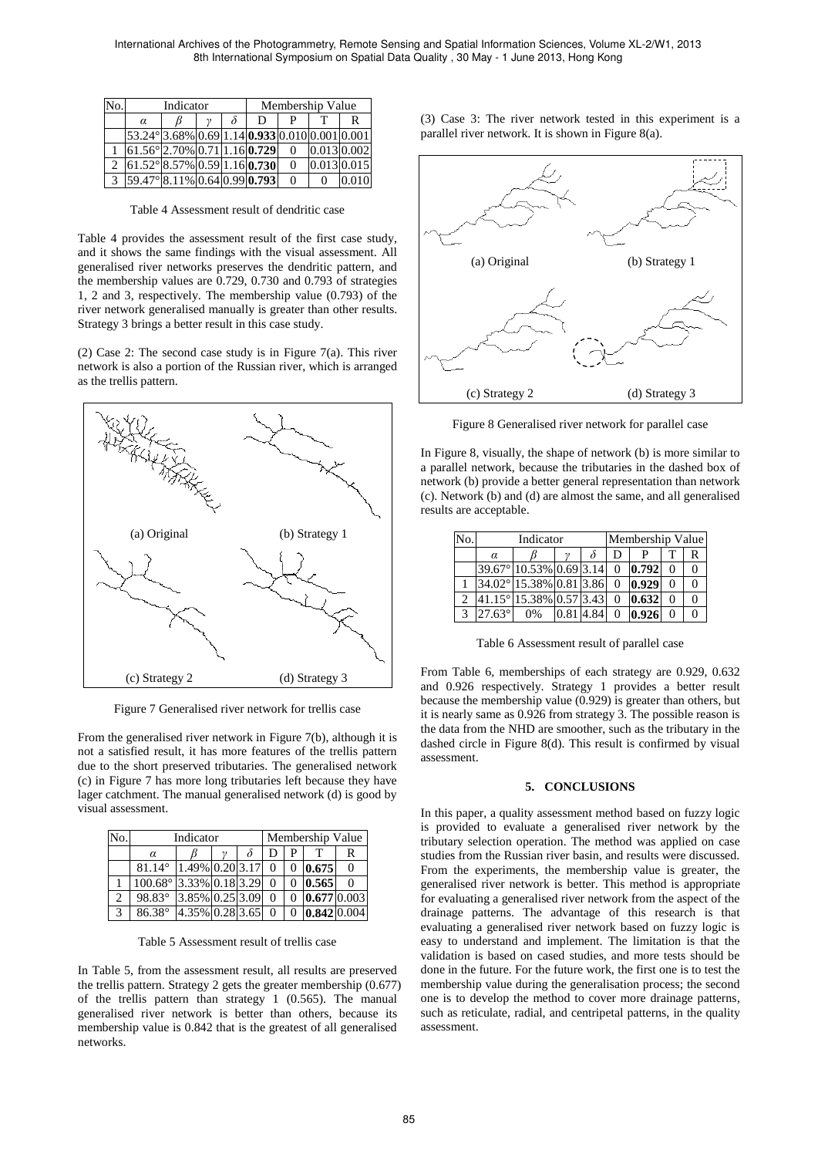| No. | Indicator |                                                                                                  |  |  | Membership Value |          |             |       |
|-----|-----------|--------------------------------------------------------------------------------------------------|--|--|------------------|----------|-------------|-------|
|     | α         |                                                                                                  |  |  | D                |          |             |       |
|     |           | $53.24$ $3.68\%$ $0.69$ 1.14 $0.933$ $0.010$ $0.001$ $0.001$                                     |  |  |                  |          |             |       |
|     |           | $61.56$ <sup>{</sup> 2.70% $0.71$ ] 1.16 <b>0.729</b>                                            |  |  |                  | $\theta$ | 0.013 0.002 |       |
|     |           | $61.52$ $9.57\%$ 0.59 1.16 0.730                                                                 |  |  |                  | $\theta$ | 0.013 0.015 |       |
|     |           | $[59.47 \, \textdegree] \, 8.11 \, \% \, [0.64 \, \textdegree] \, 0.99 \, \textdegree] \, 0.793$ |  |  |                  | $\Omega$ |             | 0.010 |

Table 4 Assessment result of dendritic case

Table 4 provides the assessment result of the first case study, and it shows the same findings with the visual assessment. All generalised river networks preserves the dendritic pattern, and the membership values are 0.729, 0.730 and 0.793 of strategies 1, 2 and 3, respectively. The membership value (0.793) of the river network generalised manually is greater than other results. Strategy 3 brings a better result in this case study.

(2) Case 2: The second case study is in Figure 7(a). This river network is also a portion of the Russian river, which is arranged as the trellis pattern.



Figure 7 Generalised river network for trellis case

From the generalised river network in Figure 7(b), although it is not a satisfied result, it has more features of the trellis pattern due to the short preserved tributaries. The generalised network (c) in Figure 7 has more long tributaries left because they have lager catchment. The manual generalised network (d) is good by visual assessment.

| No. | Indicator                           |                 |  |  | Membership Value |   |               |   |
|-----|-------------------------------------|-----------------|--|--|------------------|---|---------------|---|
|     | α                                   |                 |  |  |                  | P |               | R |
|     | $81.14^{\circ}$                     | 1.49% 0.20 3.17 |  |  | $\Omega$         |   | 0.675         | 0 |
|     | 100.68 <sup>o</sup> 3.33% 0.18 3.29 |                 |  |  | $\Omega$         |   | 0.565         |   |
|     | 98.83°                              | 3.85% 0.25 3.09 |  |  | 0                |   | $0.677$ 0.003 |   |
| 3   | $86.38^\circ$                       | 4.35% 0.28 3.65 |  |  |                  |   | 0.842 0.004   |   |

Table 5 Assessment result of trellis case

In Table 5, from the assessment result, all results are preserved the trellis pattern. Strategy 2 gets the greater membership (0.677) of the trellis pattern than strategy 1 (0.565). The manual generalised river network is better than others, because its membership value is 0.842 that is the greatest of all generalised networks.

(3) Case 3: The river network tested in this experiment is a parallel river network. It is shown in Figure 8(a).



Figure 8 Generalised river network for parallel case

In Figure 8, visually, the shape of network (b) is more similar to a parallel network, because the tributaries in the dashed box of network (b) provide a better general representation than network (c). Network (b) and (d) are almost the same, and all generalised results are acceptable.

| No. | Indicator |                         |           |  | Membership Value |       |  |  |
|-----|-----------|-------------------------|-----------|--|------------------|-------|--|--|
|     | α         |                         |           |  | D                |       |  |  |
|     |           | 39.67 910.53% 0.69 3.14 |           |  | 0                | 0.792 |  |  |
|     |           | 34.02 915.38% 0.81 3.86 |           |  |                  | 0.929 |  |  |
|     |           | 41.15 915.38% 0.57 3.43 |           |  |                  | 0.632 |  |  |
|     | $27.63$ ° | $0\%$                   | 0.81 4.84 |  |                  | 0.926 |  |  |

Table 6 Assessment result of parallel case

From Table 6, memberships of each strategy are 0.929, 0.632 and 0.926 respectively. Strategy 1 provides a better result because the membership value (0.929) is greater than others, but it is nearly same as 0.926 from strategy 3. The possible reason is the data from the NHD are smoother, such as the tributary in the dashed circle in Figure 8(d). This result is confirmed by visual assessment.

#### **5. CONCLUSIONS**

In this paper, a quality assessment method based on fuzzy logic is provided to evaluate a generalised river network by the tributary selection operation. The method was applied on case studies from the Russian river basin, and results were discussed. From the experiments, the membership value is greater, the generalised river network is better. This method is appropriate for evaluating a generalised river network from the aspect of the drainage patterns. The advantage of this research is that evaluating a generalised river network based on fuzzy logic is easy to understand and implement. The limitation is that the validation is based on cased studies, and more tests should be done in the future. For the future work, the first one is to test the membership value during the generalisation process; the second one is to develop the method to cover more drainage patterns, such as reticulate, radial, and centripetal patterns, in the quality assessment.